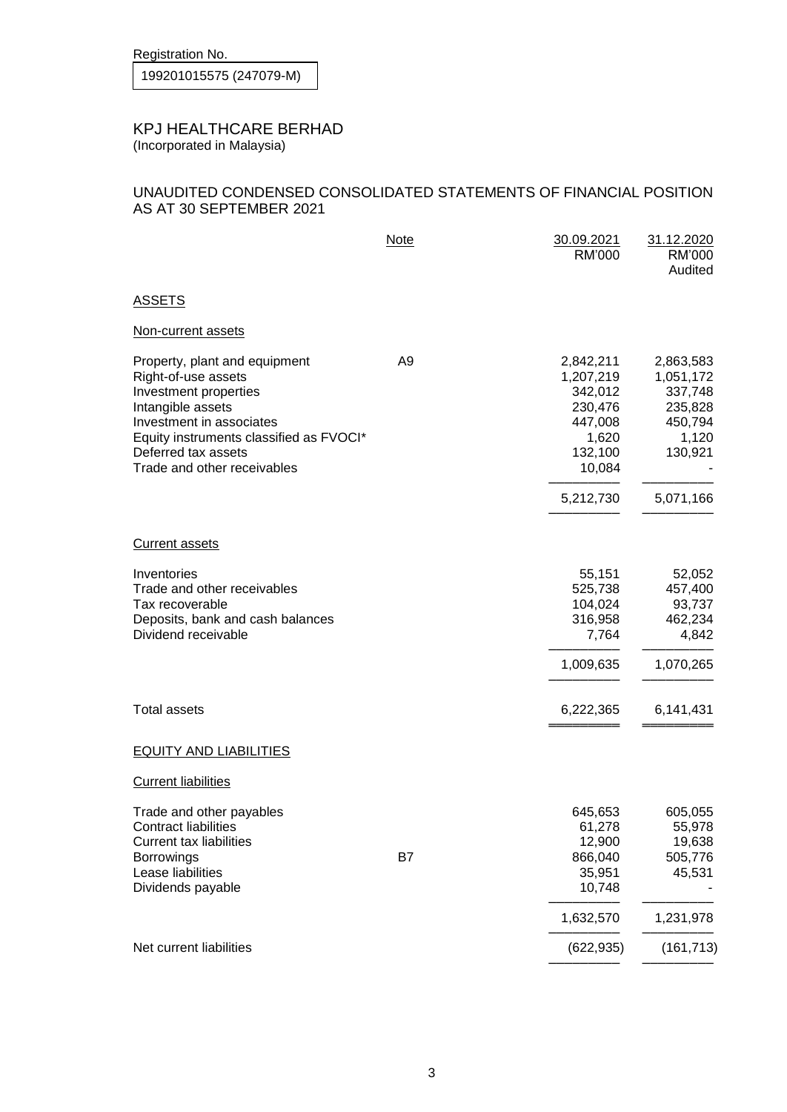Registration No.

## KPJ HEALTHCARE BERHAD (Incorporated in Malaysia)

## UNAUDITED CONDENSED CONSOLIDATED STATEMENTS OF FINANCIAL POSITION AS AT 30 SEPTEMBER 2021

|                                                                                                                                                                                                                                 | <b>Note</b>    | 30.09.2021<br>RM'000                                                                  | 31.12.2020<br>RM'000<br>Audited                                             |
|---------------------------------------------------------------------------------------------------------------------------------------------------------------------------------------------------------------------------------|----------------|---------------------------------------------------------------------------------------|-----------------------------------------------------------------------------|
| <b>ASSETS</b>                                                                                                                                                                                                                   |                |                                                                                       |                                                                             |
| Non-current assets                                                                                                                                                                                                              |                |                                                                                       |                                                                             |
| Property, plant and equipment<br>Right-of-use assets<br>Investment properties<br>Intangible assets<br>Investment in associates<br>Equity instruments classified as FVOCI*<br>Deferred tax assets<br>Trade and other receivables | A <sub>9</sub> | 2,842,211<br>1,207,219<br>342,012<br>230,476<br>447,008<br>1,620<br>132,100<br>10,084 | 2,863,583<br>1,051,172<br>337,748<br>235,828<br>450,794<br>1,120<br>130,921 |
|                                                                                                                                                                                                                                 |                | 5,212,730                                                                             | 5,071,166                                                                   |
| <b>Current assets</b>                                                                                                                                                                                                           |                |                                                                                       |                                                                             |
| Inventories<br>Trade and other receivables<br>Tax recoverable<br>Deposits, bank and cash balances<br>Dividend receivable                                                                                                        |                | 55,151<br>525,738<br>104,024<br>316,958<br>7,764                                      | 52,052<br>457,400<br>93,737<br>462,234<br>4,842                             |
|                                                                                                                                                                                                                                 |                | 1,009,635                                                                             | 1,070,265                                                                   |
| <b>Total assets</b>                                                                                                                                                                                                             |                | 6,222,365                                                                             | 6,141,431                                                                   |
| <b>EQUITY AND LIABILITIES</b>                                                                                                                                                                                                   |                |                                                                                       |                                                                             |
| <b>Current liabilities</b>                                                                                                                                                                                                      |                |                                                                                       |                                                                             |
| Trade and other payables<br><b>Contract liabilities</b><br><b>Current tax liabilities</b><br><b>Borrowings</b><br>Lease liabilities<br>Dividends payable                                                                        | B7             | 645,653<br>61,278<br>12,900<br>866,040<br>35,951<br>10,748                            | 605,055<br>55,978<br>19,638<br>505,776<br>45,531                            |
|                                                                                                                                                                                                                                 |                | 1,632,570                                                                             | 1,231,978                                                                   |
| Net current liabilities                                                                                                                                                                                                         |                | (622, 935)                                                                            | (161, 713)                                                                  |
|                                                                                                                                                                                                                                 |                |                                                                                       |                                                                             |